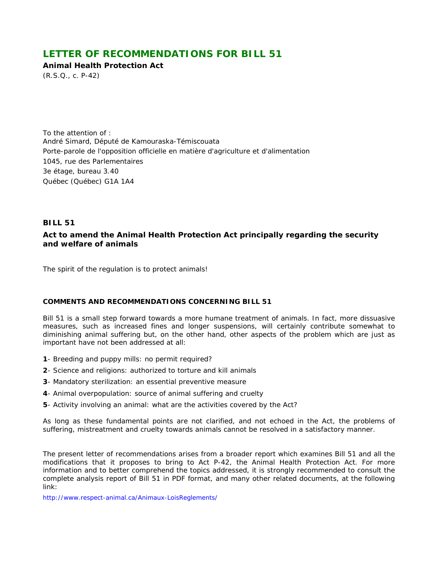# **LETTER OF RECOMMENDATIONS FOR BILL 51**

**Animal Health Protection Act** 

(R.S.Q., c. P-42)

To the attention of : André Simard, Député de Kamouraska-Témiscouata Porte-parole de l'opposition officielle en matière d'agriculture et d'alimentation 1045, rue des Parlementaires 3e étage, bureau 3.40 Québec (Québec) G1A 1A4

# **BILL 51**

# **Act to amend the** *Animal Health Protection Act* **principally regarding the security and welfare of animals**

The spirit of the regulation is to protect animals!

# **COMMENTS AND RECOMMENDATIONS CONCERNING BILL 51**

*Bill 51* is a small step forward towards a more humane treatment of animals. In fact, more dissuasive measures, such as increased fines and longer suspensions, will certainly contribute somewhat to diminishing animal suffering but, on the other hand, other aspects of the problem which are just as important have not been addressed at all:

- **1** Breeding and puppy mills: no permit required?
- **2** Science and religions: authorized to torture and kill animals
- **3** Mandatory sterilization: an essential preventive measure
- **4** Animal overpopulation: source of animal suffering and cruelty
- **5** Activity involving an animal: what are the activities covered by the Act?

As long as these fundamental points are not clarified, and not echoed in the Act, the problems of suffering, mistreatment and cruelty towards animals cannot be resolved in a satisfactory manner.

The present letter of recommendations arises from a broader report which examines *Bill 51* and all the modifications that it proposes to bring to Act P-42, the *Animal Health Protection Act*. For more information and to better comprehend the topics addressed, it is strongly recommended to consult the complete analysis report of *Bill 51* in PDF format, and many other related documents, at the following link:

http://www.respect-animal.ca/Animaux-LoisReglements/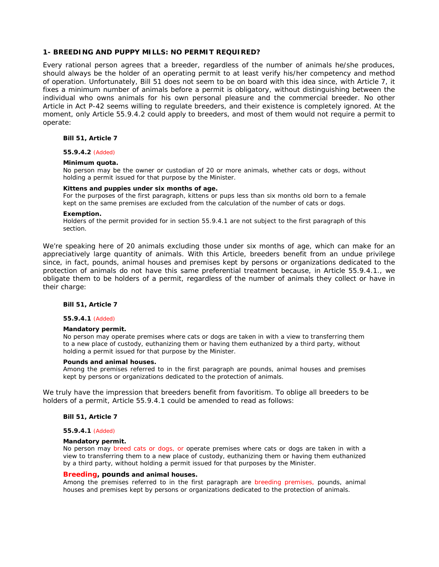# **1- BREEDING AND PUPPY MILLS: NO PERMIT REQUIRED?**

Every rational person agrees that a breeder, regardless of the number of animals he/she produces, should always be the holder of an operating permit to at least verify his/her competency and method of operation. Unfortunately, *Bill 51* does not seem to be on board with this idea since, with Article 7, it fixes a minimum number of animals before a permit is obligatory, without distinguishing between the individual who owns animals for his own personal pleasure and the commercial breeder. No other Article in Act P-42 seems willing to regulate breeders, and their existence is completely ignored. At the moment, only Article 55.9.4.2 could apply to breeders, and most of them would not require a permit to operate:

### **Bill 51, Article 7**

### **55.9.4.2** *(Added)*

#### **Minimum quota.**

No person may be the owner or custodian of 20 or more animals, whether cats or dogs, without holding a permit issued for that purpose by the Minister.

### **Kittens and puppies under six months of age.**

For the purposes of the first paragraph, kittens or pups less than six months old born to a female kept on the same premises are excluded from the calculation of the number of cats or dogs.

### **Exemption.**

Holders of the permit provided for in section 55.9.4.1 are not subject to the first paragraph of this section.

We're speaking here of 20 animals excluding those under six months of age, which can make for an appreciatively large quantity of animals. With this Article, breeders benefit from an undue privilege since, in fact, pounds, animal houses and premises kept by persons or organizations dedicated to the protection of animals do not have this same preferential treatment because, in Article 55.9.4.1., we obligate them to be holders of a permit, regardless of the number of animals they collect or have in their charge:

### **Bill 51, Article 7**

#### **55.9.4.1** *(Added)*

#### **Mandatory permit.**

No person may operate premises where cats or dogs are taken in with a view to transferring them to a new place of custody, euthanizing them or having them euthanized by a third party, without holding a permit issued for that purpose by the Minister.

#### **Pounds and animal houses.**

Among the premises referred to in the first paragraph are pounds, animal houses and premises kept by persons or organizations dedicated to the protection of animals.

We truly have the impression that breeders benefit from favoritism. To oblige all breeders to be holders of a permit, Article 55.9.4.1 could be amended to read as follows:

### **Bill 51, Article 7**

#### **55.9.4.1** *(Added)*

#### **Mandatory permit.**

No person may *breed cats or dogs, or* operate premises where cats or dogs are taken in with a view to transferring them to a new place of custody, euthanizing them or having them euthanized by a third party, without holding a permit issued for that purposes by the Minister.

# *Breeding***, pounds and animal houses.**

Among the premises referred to in the first paragraph are *breeding premises,* pounds, animal houses and premises kept by persons or organizations dedicated to the protection of animals.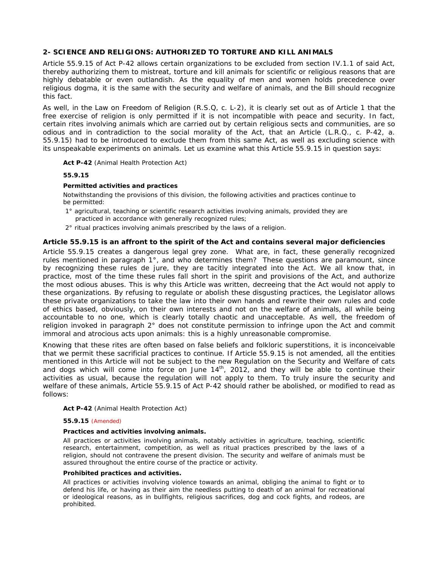# **2- SCIENCE AND RELIGIONS: AUTHORIZED TO TORTURE AND KILL ANIMALS**

Article 55.9.15 of *Act P-42* allows certain organizations to be excluded from section IV.1.1 of said Act, thereby authorizing them to mistreat, torture and kill animals for scientific or religious reasons that are highly debatable or even outlandish. As the equality of men and women holds precedence over religious dogma, it is the same with the security and welfare of animals, and the Bill should recognize this fact.

As well, in the *Law on Freedom of Religion* (R.S.Q, c. L-2), it is clearly set out as of Article 1 that the free exercise of religion is only permitted if it is not incompatible with peace and security. In fact, certain rites involving animals which are carried out by certain religious sects and communities, are so odious and in contradiction to the social morality of the Act, that an Article (L.R.Q., c. P-42, a. 55.9.15) had to be introduced to exclude them from this same Act, as well as excluding science with its unspeakable experiments on animals. Let us examine what this Article 55.9.15 in question says:

### **Act P-42** (*Animal Health Protection Act*)

### **55.9.15**

# **Permitted activities and practices**

Notwithstanding the provisions of this division, the following activities and practices continue to be permitted:

- 1° agricultural, teaching or scientific research activities involving animals, provided they are practiced in accordance with generally recognized rules;
- 2° ritual practices involving animals prescribed by the laws of a religion.

# **Article 55.9.15 is an affront to the spirit of the Act and contains several major deficiencies**

Article 55.9.15 creates a dangerous legal grey zone. What are, in fact, these *generally recognized rules* mentioned in paragraph 1°, and who determines them? These questions are paramount, since by recognizing these rules *de jure,* they are tacitly integrated into the Act. We all know that, in practice, most of the time these rules fall short in the spirit and provisions of the Act, and authorize the most odious abuses. This is why this Article was written, decreeing that the Act would not apply to these organizations. By refusing to regulate or abolish these disgusting practices, the Legislator allows these private organizations to take the law into their own hands and rewrite their own rules and code of ethics based, obviously, on their own interests and not on the welfare of animals, all while being accountable to no one, which is clearly totally chaotic and unacceptable. As well, the freedom of religion invoked in paragraph 2° does not constitute permission to infringe upon the Act and commit immoral and atrocious acts upon animals: this is a highly unreasonable compromise.

Knowing that these rites are often based on false beliefs and folkloric superstitions, it is inconceivable that we permit these sacrificial practices to continue. If Article 55.9.15 is not amended, all the entities mentioned in this Article will not be subject to the new *Regulation on the Security and Welfare of cats* and dogs which will come into force on June 14<sup>th</sup>, 2012, and they will be able to continue their activities as usual, because the regulation will not apply to them. To truly insure the security and welfare of these animals, Article 55.9.15 of *Act P-42* should rather be abolished, or modified to read as follows:

### **Act P-42** (*Animal Health Protection Act*)

### **55.9.15** *(Amended)*

### **Practices and activities involving animals.**

All practices or activities involving animals, notably activities in agriculture, teaching, scientific research, entertainment, competition, as well as ritual practices prescribed by the laws of a religion, should not contravene the present division. The security and welfare of animals must be assured throughout the entire course of the practice or activity.

### **Prohibited practices and activities.**

All practices or activities involving violence towards an animal, obliging the animal to fight or to defend his life, or having as their aim the needless putting to death of an animal for recreational or ideological reasons, as in bullfights, religious sacrifices, dog and cock fights, and rodeos, are prohibited.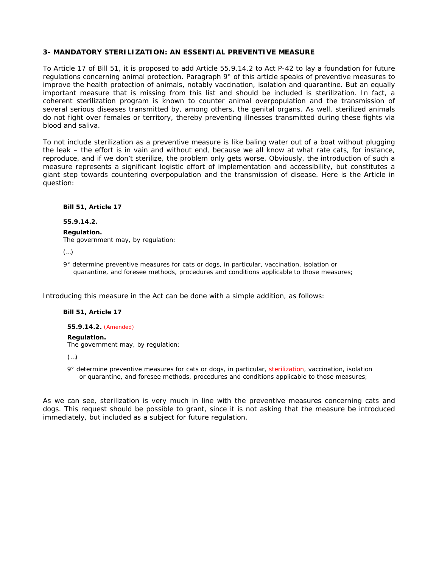# **3- MANDATORY STERILIZATION: AN ESSENTIAL PREVENTIVE MEASURE**

To Article 17 of *Bill 51*, it is proposed to add Article 55.9.14.2 to *Act P-42* to lay a foundation for future regulations concerning animal protection. Paragraph 9° of this article speaks of preventive measures to improve the health protection of animals, notably vaccination, isolation and quarantine. But an equally important measure that is missing from this list and should be included is *sterilization.* In fact, a coherent sterilization program is known to counter animal overpopulation and the transmission of several serious diseases transmitted by, among others, the genital organs. As well, sterilized animals do not fight over females or territory, thereby preventing illnesses transmitted during these fights via blood and saliva.

To not include *sterilization* as a preventive measure is like baling water out of a boat without plugging the leak – the effort is in vain and without end, because we all know at what rate cats, for instance, reproduce, and if we don't sterilize, the problem only gets worse. Obviously, the introduction of such a measure represents a significant logistic effort of implementation and accessibility, but constitutes a giant step towards countering overpopulation and the transmission of disease. Here is the Article in question:

**Bill 51, Article 17** 

**55.9.14.2.** 

**Regulation.** The government may, by regulation:

(…)

 9° determine preventive measures for cats or dogs, in particular, vaccination, isolation or quarantine, and foresee methods, procedures and conditions applicable to those measures;

Introducing this measure in the Act can be done with a simple addition, as follows:

# **Bill 51, Article 17**

**55.9.14.2.** *(Amended)*

# **Regulation.**

The government may, by regulation:

 $\left( \ldots \right)$ 

9° determine preventive measures for cats or dogs, in particular, *sterilization*, vaccination, isolation or quarantine, and foresee methods, procedures and conditions applicable to those measures;

As we can see, *sterilization* is very much in line with the preventive measures concerning cats and dogs. This request should be possible to grant, since it is not asking that the measure be introduced immediately, but included as a subject for future regulation.